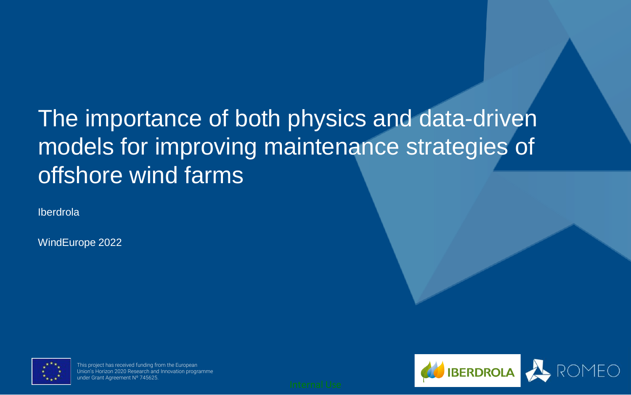# The importance of both physics and data-driven models for improving maintenance strategies of offshore wind farms

Iberdrola

WindEurope 2022



This project has received funding from the European Union's Horizon 2020 Research and Innovation programme under Grant Agreement Nº 745625.

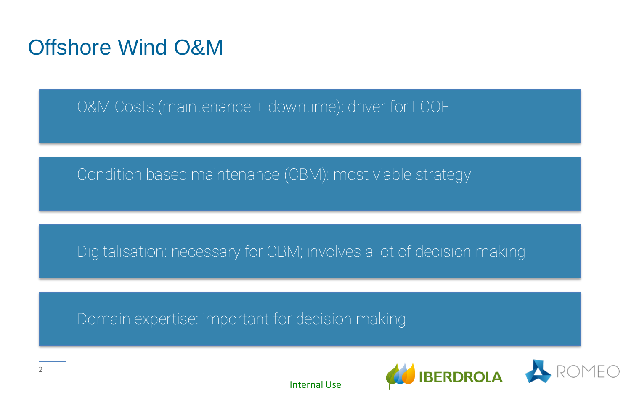### Offshore Wind O&M

O&M Costs (maintenance + downtime): driver for LCOE

Condition based maintenance (CBM): most viable strategy

Digitalisation: necessary for CBM; involves a lot of decision making

Domain expertise: important for decision making



Internal Use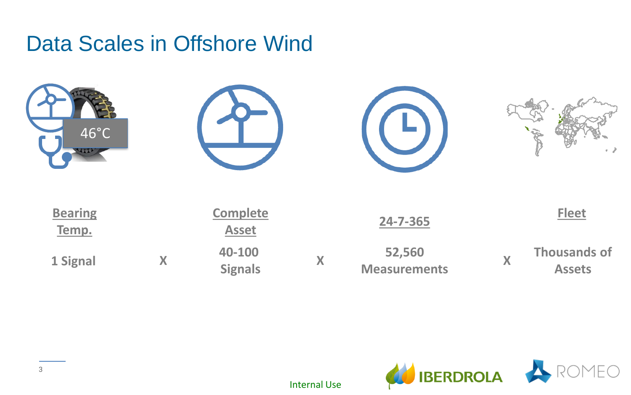### Data Scales in Offshore Wind



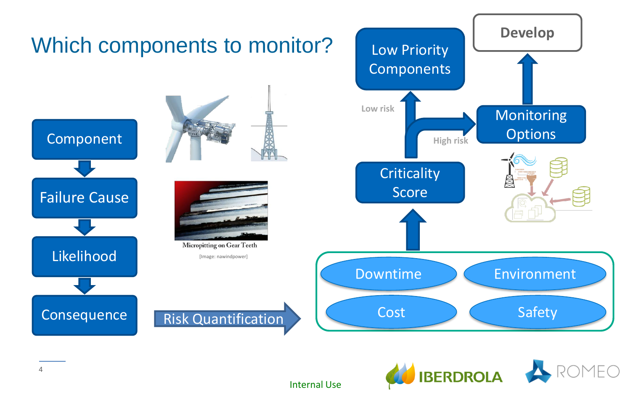



Internal Use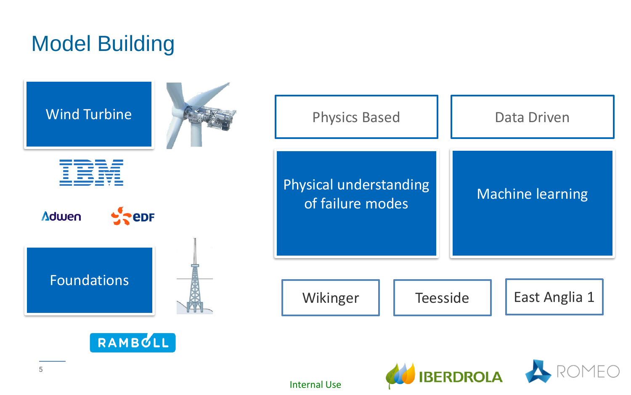### Model Building

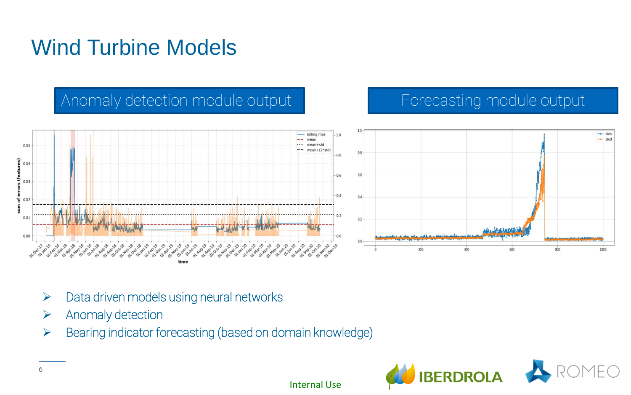## Wind Turbine Models

### Anomaly detection module output Forecasting module output



- $\triangleright$  Data driven models using neural networks
- ➢ Anomaly detection
- ➢ Bearing indicator forecasting (based on domain knowledge)

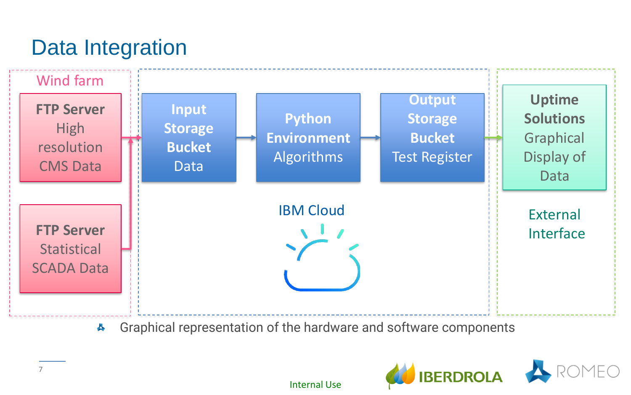## Data Integration



Graphical representation of the hardware and software components  $\blacktriangle$ 



Internal Use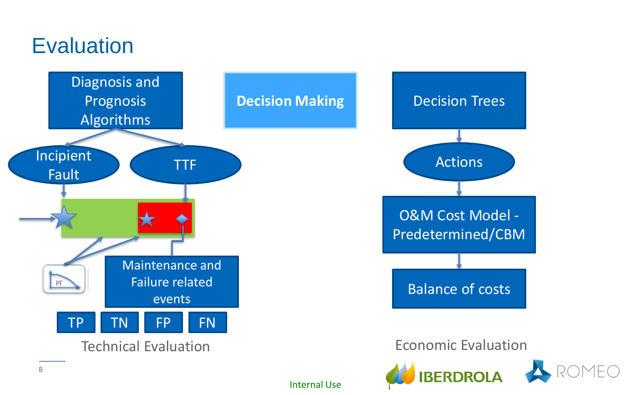### **Evaluation**



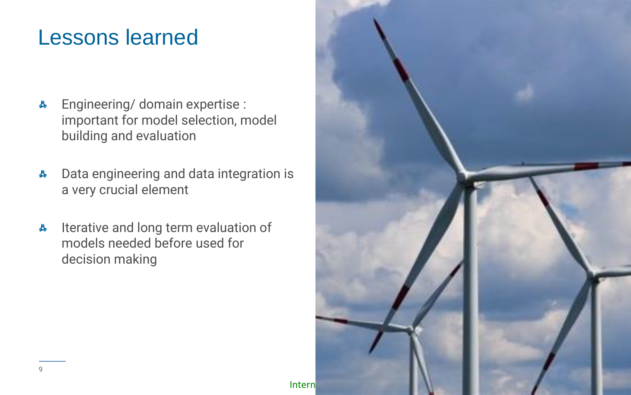### Lessons learned

- Engineering/ domain expertise : 县 important for model selection, model building and evaluation
- Data engineering and data integration is 县 a very crucial element
- Iterative and long term evaluation of 쓰 models needed before used for decision making